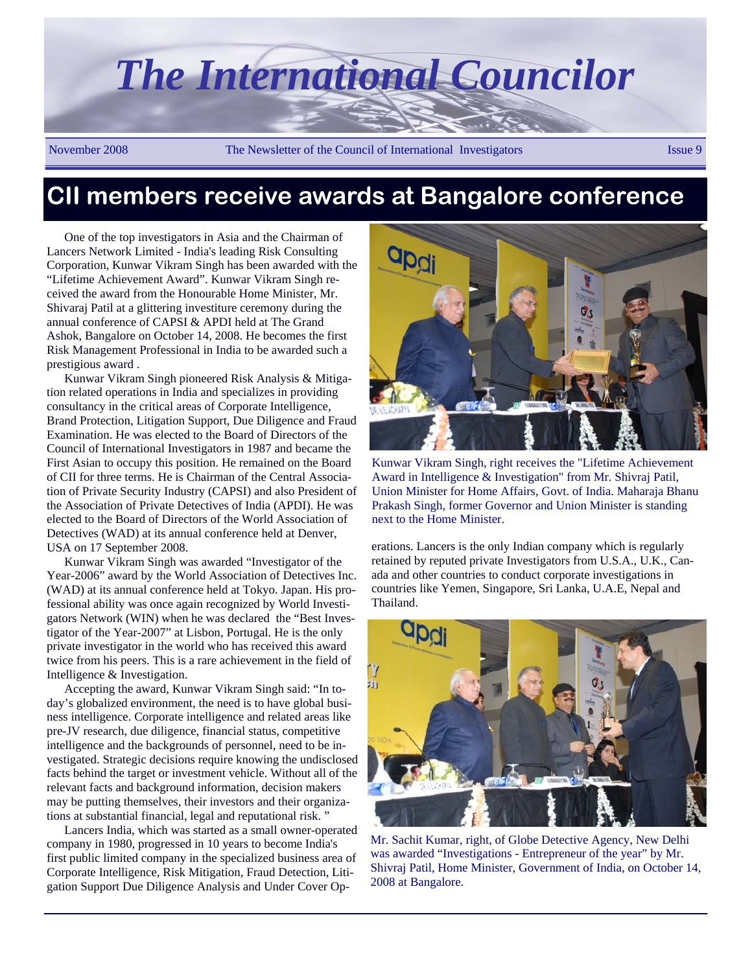

# **CII members receive awards at Bangalore conference**

One of the top investigators in Asia and the Chairman of Lancers Network Limited - India's leading Risk Consulting Corporation, Kunwar Vikram Singh has been awarded with the "Lifetime Achievement Award". Kunwar Vikram Singh received the award from the Honourable Home Minister, Mr. Shivaraj Patil at a glittering investiture ceremony during the annual conference of CAPSI & APDI held at The Grand Ashok, Bangalore on October 14, 2008. He becomes the first Risk Management Professional in India to be awarded such a prestigious award .

Kunwar Vikram Singh pioneered Risk Analysis & Mitigation related operations in India and specializes in providing consultancy in the critical areas of Corporate Intelligence, Brand Protection, Litigation Support, Due Diligence and Fraud Examination. He was elected to the Board of Directors of the Council of International Investigators in 1987 and became the First Asian to occupy this position. He remained on the Board of CII for three terms. He is Chairman of the Central Association of Private Security Industry (CAPSI) and also President of the Association of Private Detectives of India (APDI). He was elected to the Board of Directors of the World Association of Detectives (WAD) at its annual conference held at Denver, USA on 17 September 2008.

Kunwar Vikram Singh was awarded "Investigator of the Year-2006" award by the World Association of Detectives Inc. (WAD) at its annual conference held at Tokyo. Japan. His professional ability was once again recognized by World Investigators Network (WIN) when he was declared the "Best Investigator of the Year-2007" at Lisbon, Portugal. He is the only private investigator in the world who has received this award twice from his peers. This is a rare achievement in the field of Intelligence & Investigation.

Accepting the award, Kunwar Vikram Singh said: "In today's globalized environment, the need is to have global business intelligence. Corporate intelligence and related areas like pre-JV research, due diligence, financial status, competitive intelligence and the backgrounds of personnel, need to be investigated. Strategic decisions require knowing the undisclosed facts behind the target or investment vehicle. Without all of the relevant facts and background information, decision makers may be putting themselves, their investors and their organizations at substantial financial, legal and reputational risk. "

Lancers India, which was started as a small owner-operated company in 1980, progressed in 10 years to become India's first public limited company in the specialized business area of Corporate Intelligence, Risk Mitigation, Fraud Detection, Litigation Support Due Diligence Analysis and Under Cover Op-



Kunwar Vikram Singh, right receives the "Lifetime Achievement Award in Intelligence & Investigation" from Mr. Shivraj Patil, Union Minister for Home Affairs, Govt. of India. Maharaja Bhanu Prakash Singh, former Governor and Union Minister is standing next to the Home Minister.

erations. Lancers is the only Indian company which is regularly retained by reputed private Investigators from U.S.A., U.K., Canada and other countries to conduct corporate investigations in countries like Yemen, Singapore, Sri Lanka, U.A.E, Nepal and Thailand.



Mr. Sachit Kumar, right, of Globe Detective Agency, New Delhi was awarded "Investigations - Entrepreneur of the year" by Mr. Shivraj Patil, Home Minister, Government of India, on October 14, 2008 at Bangalore.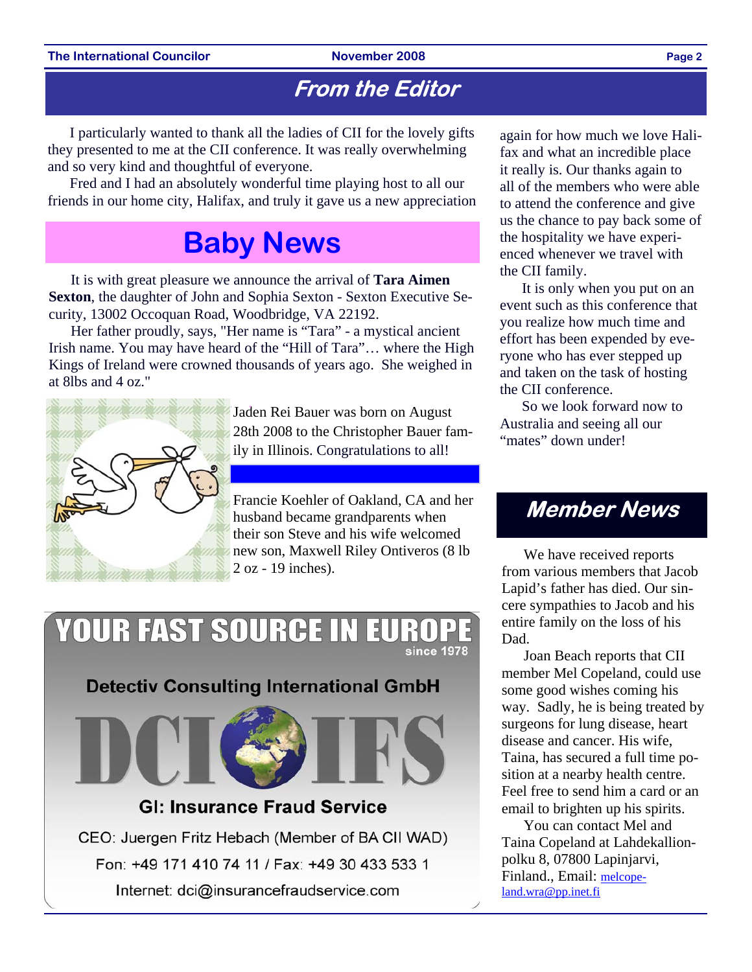## **From the Editor**

I particularly wanted to thank all the ladies of CII for the lovely gifts they presented to me at the CII conference. It was really overwhelming and so very kind and thoughtful of everyone.

Fred and I had an absolutely wonderful time playing host to all our friends in our home city, Halifax, and truly it gave us a new appreciation

# **Baby News**

It is with great pleasure we announce the arrival of **Tara Aimen Sexton**, the daughter of John and Sophia Sexton - Sexton Executive Security, 13002 Occoquan Road, Woodbridge, VA 22192.

Her father proudly, says, "Her name is "Tara" - a mystical ancient Irish name. You may have heard of the "Hill of Tara"... where the High Kings of Ireland were crowned thousands of years ago. She weighed in at 8lbs and 4 oz."



Jaden Rei Bauer was born on August 28th 2008 to the Christopher Bauer family in Illinois. Congratulations to all!

Francie Koehler of Oakland, CA and her husband became grandparents when their son Steve and his wife welcomed new son, Maxwell Riley Ontiveros (8 lb 2 oz - 19 inches).

### **YOUR FAST SOURCE IN EUR** since 1978

**Detectiv Consulting International GmbH** 



### **GI: Insurance Fraud Service**

CEO: Juergen Fritz Hebach (Member of BA CII WAD) Fon: +49 171 410 74 11 / Fax: +49 30 433 533 1 Internet: dci@insurancefraudservice.com

again for how much we love Halifax and what an incredible place it really is. Our thanks again to all of the members who were able to attend the conference and give us the chance to pay back some of the hospitality we have experienced whenever we travel with the CII family.

It is only when you put on an event such as this conference that you realize how much time and effort has been expended by everyone who has ever stepped up and taken on the task of hosting the CII conference.

So we look forward now to Australia and seeing all our "mates" down under!

## **Member News**

We have received reports from various members that Jacob Lapid's father has died. Our sincere sympathies to Jacob and his entire family on the loss of his Dad.

Joan Beach reports that CII member Mel Copeland, could use some good wishes coming his way. Sadly, he is being treated by surgeons for lung disease, heart disease and cancer. His wife, Taina, has secured a full time position at a nearby health centre. Feel free to send him a card or an email to brighten up his spirits.

You can contact Mel and Taina Copeland at Lahdekallionpolku 8, 07800 Lapinjarvi, Finland., Email: melcopeland.wra@pp.inet.fi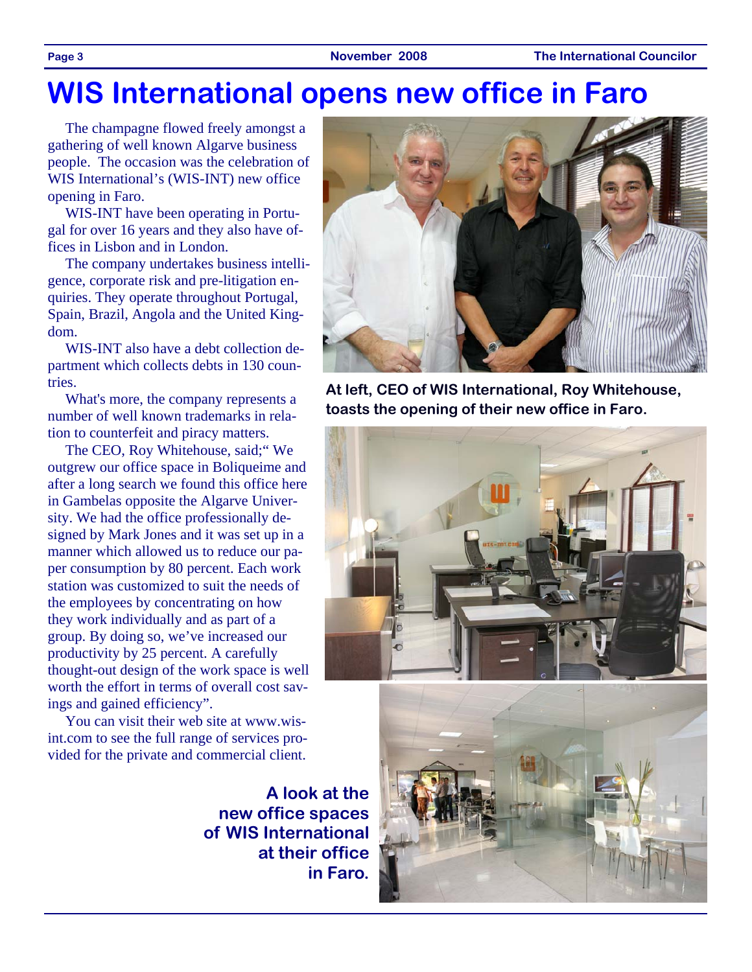# **WIS International opens new office in Faro**

The champagne flowed freely amongst a gathering of well known Algarve business people. The occasion was the celebration of WIS International's (WIS-INT) new office opening in Faro.

WIS-INT have been operating in Portugal for over 16 years and they also have offices in Lisbon and in London.

The company undertakes business intelligence, corporate risk and pre-litigation enquiries. They operate throughout Portugal, Spain, Brazil, Angola and the United Kingdom.

WIS-INT also have a debt collection department which collects debts in 130 countries.

What's more, the company represents a number of well known trademarks in relation to counterfeit and piracy matters.

The CEO, Roy Whitehouse, said;" We outgrew our office space in Boliqueime and after a long search we found this office here in Gambelas opposite the Algarve University. We had the office professionally designed by Mark Jones and it was set up in a manner which allowed us to reduce our paper consumption by 80 percent. Each work station was customized to suit the needs of the employees by concentrating on how they work individually and as part of a group. By doing so, we've increased our productivity by 25 percent. A carefully thought-out design of the work space is well worth the effort in terms of overall cost savings and gained efficiency".

You can visit their web site at www.wisint.com to see the full range of services provided for the private and commercial client.

> **A look at the new office spaces of WIS International at their office in Faro.**



**At left, CEO of WIS International, Roy Whitehouse, toasts the opening of their new office in Faro.** 

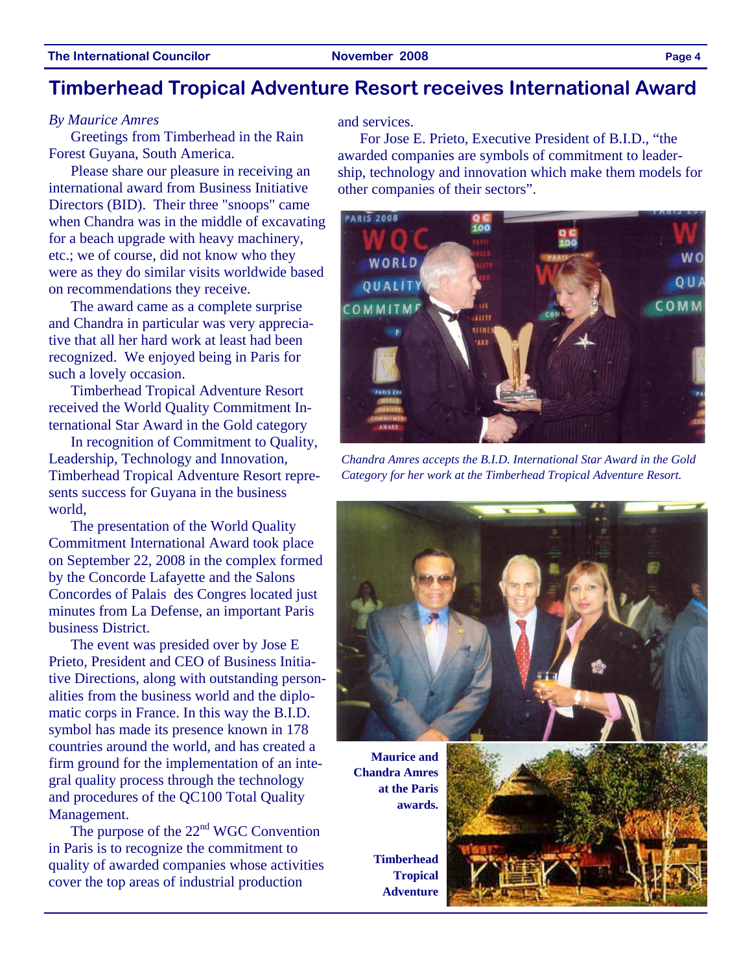### **Timberhead Tropical Adventure Resort receives International Award**

#### *By Maurice Amres*

Greetings from Timberhead in the Rain Forest Guyana, South America.

Please share our pleasure in receiving an international award from Business Initiative Directors (BID). Their three "snoops" came when Chandra was in the middle of excavating for a beach upgrade with heavy machinery, etc.; we of course, did not know who they were as they do similar visits worldwide based on recommendations they receive.

The award came as a complete surprise and Chandra in particular was very appreciative that all her hard work at least had been recognized. We enjoyed being in Paris for such a lovely occasion.

Timberhead Tropical Adventure Resort received the World Quality Commitment International Star Award in the Gold category

In recognition of Commitment to Quality, Leadership, Technology and Innovation, Timberhead Tropical Adventure Resort represents success for Guyana in the business world,

The presentation of the World Quality Commitment International Award took place on September 22, 2008 in the complex formed by the Concorde Lafayette and the Salons Concordes of Palais des Congres located just minutes from La Defense, an important Paris business District.

The event was presided over by Jose E Prieto, President and CEO of Business Initiative Directions, along with outstanding personalities from the business world and the diplomatic corps in France. In this way the B.I.D. symbol has made its presence known in 178 countries around the world, and has created a firm ground for the implementation of an integral quality process through the technology and procedures of the QC100 Total Quality Management.

The purpose of the  $22<sup>nd</sup>$  WGC Convention in Paris is to recognize the commitment to quality of awarded companies whose activities cover the top areas of industrial production

and services.

For Jose E. Prieto, Executive President of B.I.D., "the awarded companies are symbols of commitment to leadership, technology and innovation which make them models for other companies of their sectors".



*Chandra Amres accepts the B.I.D. International Star Award in the Gold Category for her work at the Timberhead Tropical Adventure Resort.* 



**Maurice and Chandra Amres at the Paris awards.** 

**Timberhead Tropical Adventure** 

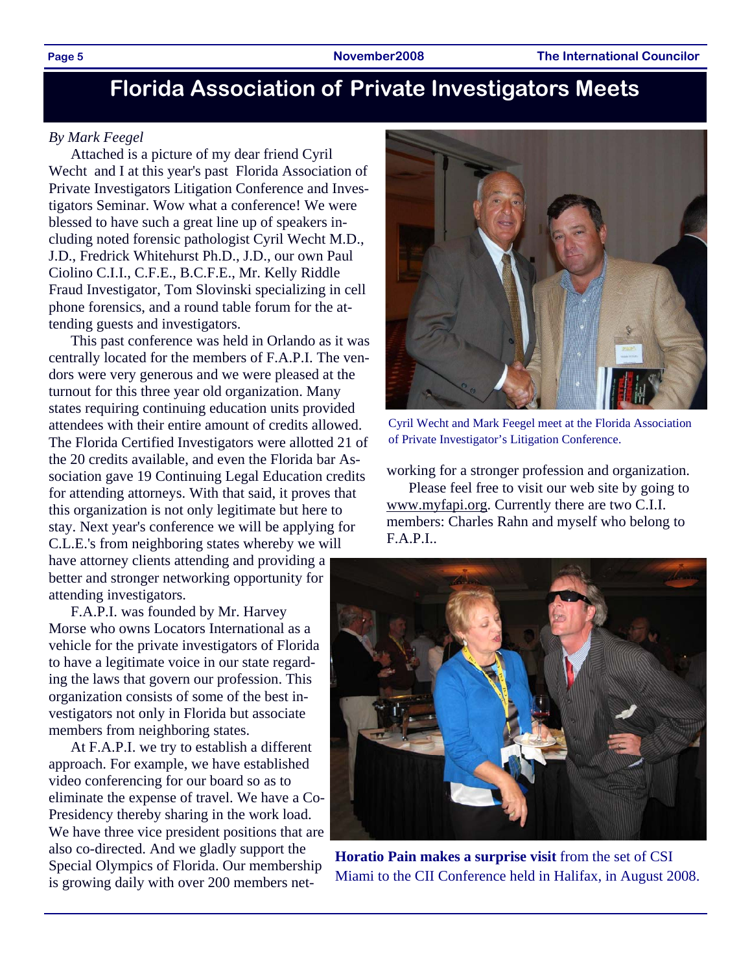# **Florida Association of Private Investigators Meets**

#### *By Mark Feegel*

Attached is a picture of my dear friend Cyril Wecht and I at this year's past Florida Association of Private Investigators Litigation Conference and Investigators Seminar. Wow what a conference! We were blessed to have such a great line up of speakers including noted forensic pathologist Cyril Wecht M.D., J.D., Fredrick Whitehurst Ph.D., J.D., our own Paul Ciolino C.I.I., C.F.E., B.C.F.E., Mr. Kelly Riddle Fraud Investigator, Tom Slovinski specializing in cell phone forensics, and a round table forum for the attending guests and investigators.

This past conference was held in Orlando as it was centrally located for the members of F.A.P.I. The vendors were very generous and we were pleased at the turnout for this three year old organization. Many states requiring continuing education units provided attendees with their entire amount of credits allowed. The Florida Certified Investigators were allotted 21 of the 20 credits available, and even the Florida bar Association gave 19 Continuing Legal Education credits for attending attorneys. With that said, it proves that this organization is not only legitimate but here to stay. Next year's conference we will be applying for C.L.E.'s from neighboring states whereby we will have attorney clients attending and providing a better and stronger networking opportunity for attending investigators.

F.A.P.I. was founded by Mr. Harvey Morse who owns Locators International as a vehicle for the private investigators of Florida to have a legitimate voice in our state regarding the laws that govern our profession. This organization consists of some of the best investigators not only in Florida but associate members from neighboring states.

At F.A.P.I. we try to establish a different approach. For example, we have established video conferencing for our board so as to eliminate the expense of travel. We have a Co-Presidency thereby sharing in the work load. We have three vice president positions that are also co-directed. And we gladly support the Special Olympics of Florida. Our membership is growing daily with over 200 members net-



Cyril Wecht and Mark Feegel meet at the Florida Association of Private Investigator's Litigation Conference.

working for a stronger profession and organization.

Please feel free to visit our web site by going to www.myfapi.org. Currently there are two C.I.I. members: Charles Rahn and myself who belong to F.A.P.I..



**Horatio Pain makes a surprise visit** from the set of CSI Miami to the CII Conference held in Halifax, in August 2008.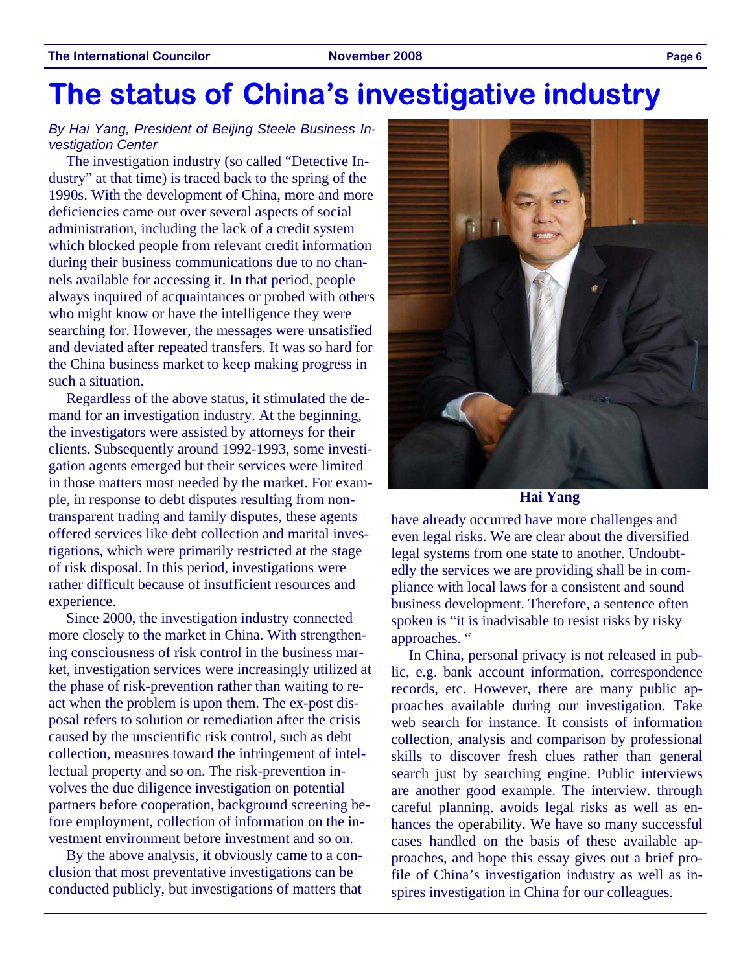# **The status of China's investigative industry**

### *By Hai Yang, President of Beijing Steele Business Investigation Center*

The investigation industry (so called "Detective Industry" at that time) is traced back to the spring of the 1990s. With the development of China, more and more deficiencies came out over several aspects of social administration, including the lack of a credit system which blocked people from relevant credit information during their business communications due to no channels available for accessing it. In that period, people always inquired of acquaintances or probed with others who might know or have the intelligence they were searching for. However, the messages were unsatisfied and deviated after repeated transfers. It was so hard for the China business market to keep making progress in such a situation.

Regardless of the above status, it stimulated the demand for an investigation industry. At the beginning, the investigators were assisted by attorneys for their clients. Subsequently around 1992-1993, some investigation agents emerged but their services were limited in those matters most needed by the market. For example, in response to debt disputes resulting from nontransparent trading and family disputes, these agents offered services like debt collection and marital investigations, which were primarily restricted at the stage of risk disposal. In this period, investigations were rather difficult because of insufficient resources and experience.

Since 2000, the investigation industry connected more closely to the market in China. With strengthening consciousness of risk control in the business market, investigation services were increasingly utilized at the phase of risk-prevention rather than waiting to react when the problem is upon them. The ex-post disposal refers to solution or remediation after the crisis caused by the unscientific risk control, such as debt collection, measures toward the infringement of intellectual property and so on. The risk-prevention involves the due diligence investigation on potential partners before cooperation, background screening before employment, collection of information on the investment environment before investment and so on.

By the above analysis, it obviously came to a conclusion that most preventative investigations can be conducted publicly, but investigations of matters that



**Hai Yang** 

have already occurred have more challenges and even legal risks. We are clear about the diversified legal systems from one state to another. Undoubtedly the services we are providing shall be in compliance with local laws for a consistent and sound business development. Therefore, a sentence often spoken is "it is inadvisable to resist risks by risky approaches. "

In China, personal privacy is not released in public, e.g. bank account information, correspondence records, etc. However, there are many public approaches available during our investigation. Take web search for instance. It consists of information collection, analysis and comparison by professional skills to discover fresh clues rather than general search just by searching engine. Public interviews are another good example. The interview. through careful planning. avoids legal risks as well as enhances the operability. We have so many successful cases handled on the basis of these available approaches, and hope this essay gives out a brief profile of China's investigation industry as well as inspires investigation in China for our colleagues.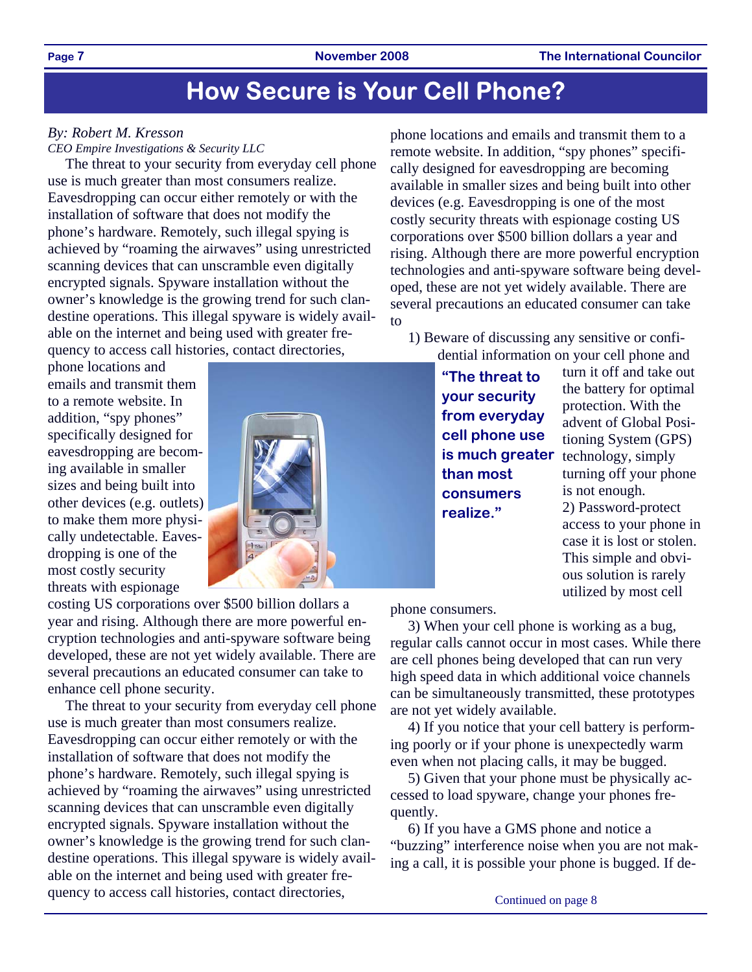# **How Secure is Your Cell Phone?**

### *By: Robert M. Kresson*

*CEO Empire Investigations & Security LLC* 

The threat to your security from everyday cell phone use is much greater than most consumers realize. Eavesdropping can occur either remotely or with the installation of software that does not modify the phone's hardware. Remotely, such illegal spying is achieved by "roaming the airwaves" using unrestricted scanning devices that can unscramble even digitally encrypted signals. Spyware installation without the owner's knowledge is the growing trend for such clandestine operations. This illegal spyware is widely available on the internet and being used with greater frequency to access call histories, contact directories,

phone locations and emails and transmit them to a remote website. In addition, "spy phones" specifically designed for eavesdropping are becoming available in smaller sizes and being built into other devices (e.g. outlets) to make them more physically undetectable. Eavesdropping is one of the most costly security threats with espionage



costing US corporations over \$500 billion dollars a year and rising. Although there are more powerful encryption technologies and anti-spyware software being developed, these are not yet widely available. There are several precautions an educated consumer can take to enhance cell phone security.

The threat to your security from everyday cell phone use is much greater than most consumers realize. Eavesdropping can occur either remotely or with the installation of software that does not modify the phone's hardware. Remotely, such illegal spying is achieved by "roaming the airwaves" using unrestricted scanning devices that can unscramble even digitally encrypted signals. Spyware installation without the owner's knowledge is the growing trend for such clandestine operations. This illegal spyware is widely available on the internet and being used with greater frequency to access call histories, contact directories,

phone locations and emails and transmit them to a remote website. In addition, "spy phones" specifically designed for eavesdropping are becoming available in smaller sizes and being built into other devices (e.g. Eavesdropping is one of the most costly security threats with espionage costing US corporations over \$500 billion dollars a year and rising. Although there are more powerful encryption technologies and anti-spyware software being developed, these are not yet widely available. There are several precautions an educated consumer can take to

1) Beware of discussing any sensitive or confidential information on your cell phone and

> **"The threat to your security from everyday cell phone use is much greater than most consumers realize."**

turn it off and take out the battery for optimal protection. With the advent of Global Positioning System (GPS) technology, simply turning off your phone is not enough. 2) Password-protect access to your phone in case it is lost or stolen. This simple and obvious solution is rarely utilized by most cell

phone consumers.

3) When your cell phone is working as a bug, regular calls cannot occur in most cases. While there are cell phones being developed that can run very high speed data in which additional voice channels can be simultaneously transmitted, these prototypes are not yet widely available.

4) If you notice that your cell battery is performing poorly or if your phone is unexpectedly warm even when not placing calls, it may be bugged.

5) Given that your phone must be physically accessed to load spyware, change your phones frequently.

6) If you have a GMS phone and notice a "buzzing" interference noise when you are not making a call, it is possible your phone is bugged. If de-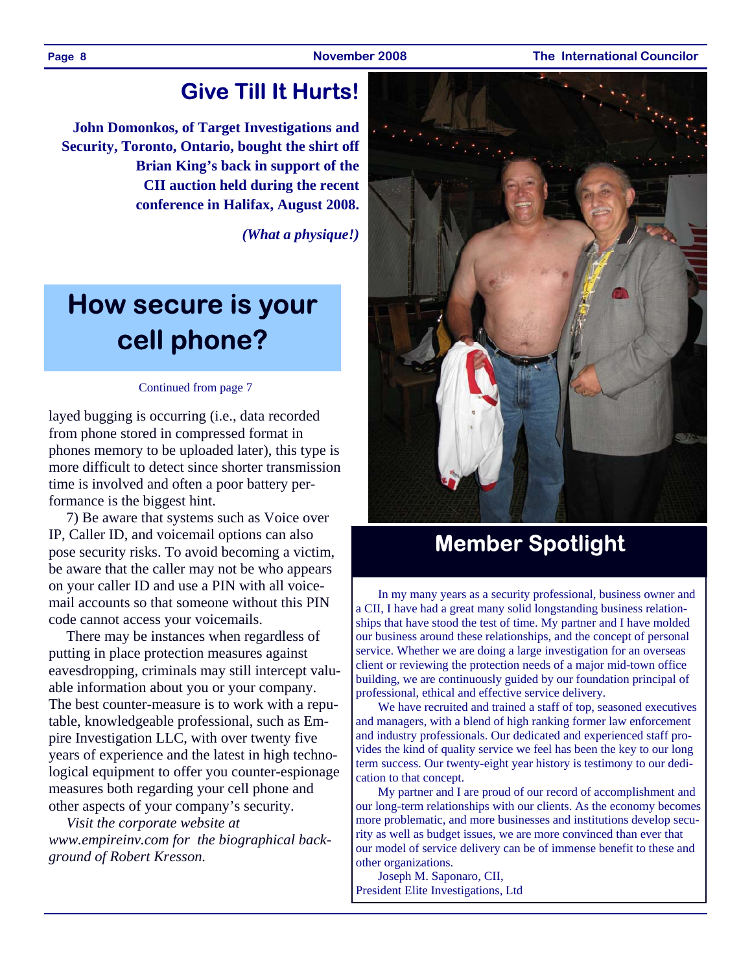#### **Page 8 November 2008 The International Councilor**

## **Give Till It Hurts!**

**John Domonkos, of Target Investigations and Security, Toronto, Ontario, bought the shirt off Brian King's back in support of the CII auction held during the recent conference in Halifax, August 2008.** 

*(What a physique!)* 

# **How secure is your cell phone?**

#### Continued from page 7

layed bugging is occurring (i.e., data recorded from phone stored in compressed format in phones memory to be uploaded later), this type is more difficult to detect since shorter transmission time is involved and often a poor battery performance is the biggest hint.

7) Be aware that systems such as Voice over IP, Caller ID, and voicemail options can also pose security risks. To avoid becoming a victim, be aware that the caller may not be who appears on your caller ID and use a PIN with all voicemail accounts so that someone without this PIN code cannot access your voicemails.

There may be instances when regardless of putting in place protection measures against eavesdropping, criminals may still intercept valuable information about you or your company. The best counter-measure is to work with a reputable, knowledgeable professional, such as Empire Investigation LLC, with over twenty five years of experience and the latest in high technological equipment to offer you counter-espionage measures both regarding your cell phone and other aspects of your company's security.

*Visit the corporate website at www.empireinv.com for the biographical background of Robert Kresson.* 



# **Member Spotlight**

In my many years as a security professional, business owner and a CII, I have had a great many solid longstanding business relationships that have stood the test of time. My partner and I have molded our business around these relationships, and the concept of personal service. Whether we are doing a large investigation for an overseas client or reviewing the protection needs of a major mid-town office building, we are continuously guided by our foundation principal of professional, ethical and effective service delivery.

We have recruited and trained a staff of top, seasoned executives and managers, with a blend of high ranking former law enforcement and industry professionals. Our dedicated and experienced staff provides the kind of quality service we feel has been the key to our long term success. Our twenty-eight year history is testimony to our dedication to that concept.

My partner and I are proud of our record of accomplishment and our long-term relationships with our clients. As the economy becomes more problematic, and more businesses and institutions develop security as well as budget issues, we are more convinced than ever that our model of service delivery can be of immense benefit to these and other organizations.

Joseph M. Saponaro, CII, President Elite Investigations, Ltd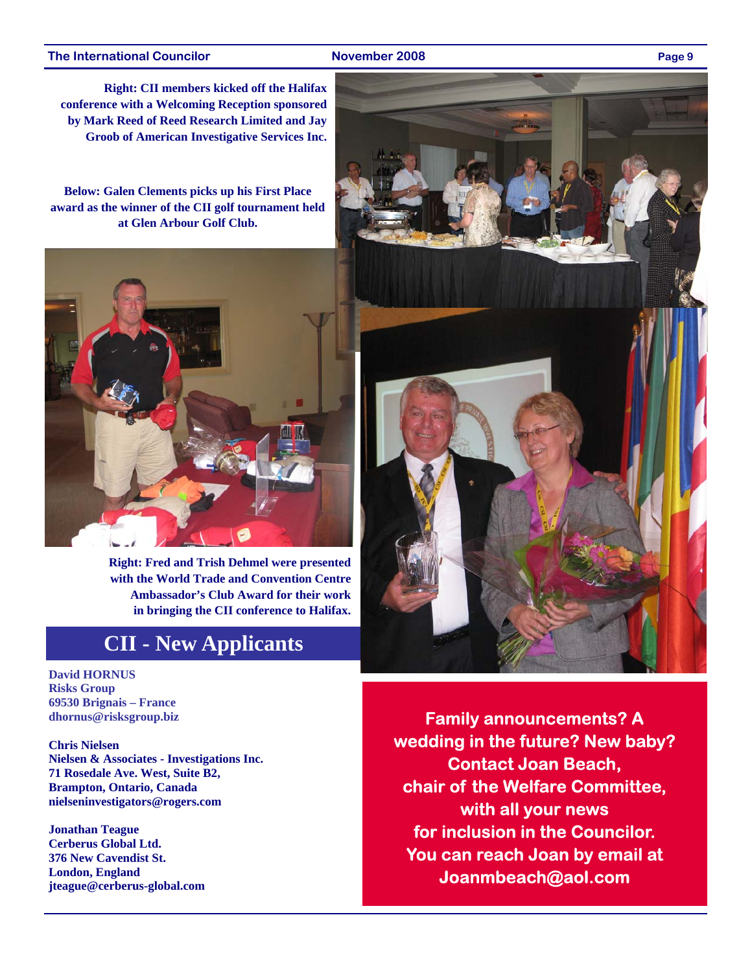#### **The International Councilor November 2008 Page 9**

**Right: CII members kicked off the Halifax conference with a Welcoming Reception sponsored by Mark Reed of Reed Research Limited and Jay Groob of American Investigative Services Inc.** 

**Below: Galen Clements picks up his First Place award as the winner of the CII golf tournament held at Glen Arbour Golf Club.** 



**Right: Fred and Trish Dehmel were presented with the World Trade and Convention Centre Ambassador's Club Award for their work in bringing the CII conference to Halifax.** 

### **CII - New Applicants**

**David HORNUS Risks Group 69530 Brignais – France dhornus@risksgroup.biz** 

**Chris Nielsen Nielsen & Associates - Investigations Inc. 71 Rosedale Ave. West, Suite B2, Brampton, Ontario, Canada nielseninvestigators@rogers.com** 

**Jonathan Teague Cerberus Global Ltd. 376 New Cavendist St. London, England jteague@cerberus-global.com** 



**Family announcements? A wedding in the future? New baby? Contact Joan Beach, chair of the Welfare Committee, with all your news for inclusion in the Councilor. You can reach Joan by email at Joanmbeach@aol.com**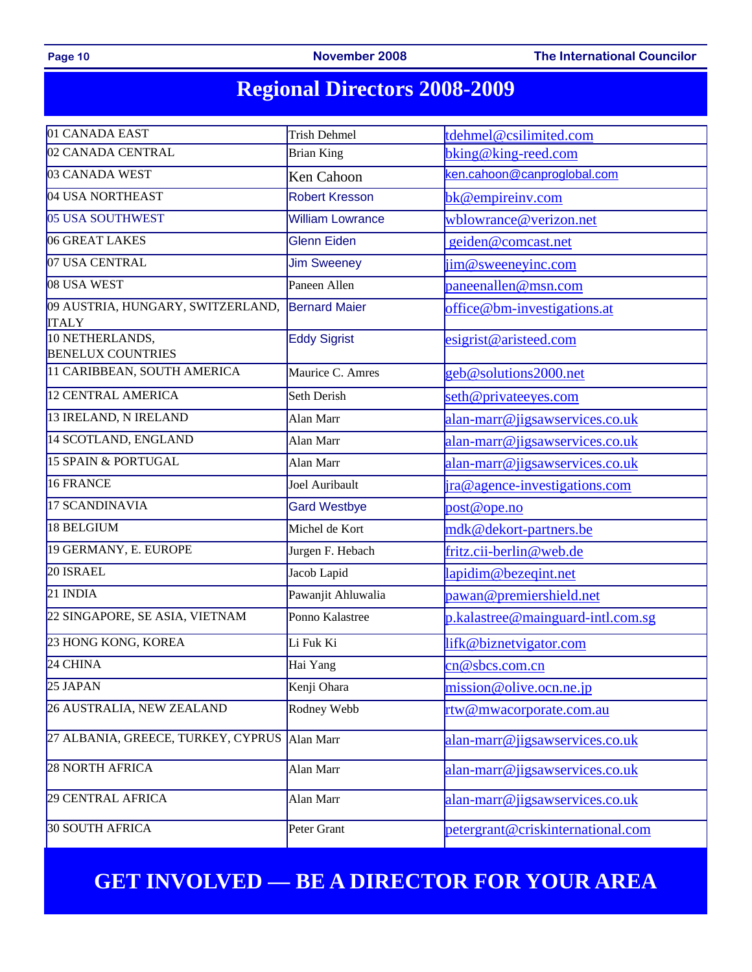Page 10 **November 2008** The International Councilor

# **Regional Directors 2008-2009**

| 01 CANADA EAST                                    | <b>Trish Dehmel</b>     | tdehmel@csilimited.com            |  |  |
|---------------------------------------------------|-------------------------|-----------------------------------|--|--|
| 02 CANADA CENTRAL                                 | <b>Brian King</b>       | bking@king-reed.com               |  |  |
| 03 CANADA WEST                                    | Ken Cahoon              | ken.cahoon@canproglobal.com       |  |  |
| 04 USA NORTHEAST                                  | <b>Robert Kresson</b>   | bk@empireinv.com                  |  |  |
| 05 USA SOUTHWEST                                  | <b>William Lowrance</b> | wblowrance@verizon.net            |  |  |
| 06 GREAT LAKES                                    | Glenn Eiden             | geiden@comcast.net                |  |  |
| 07 USA CENTRAL                                    | <b>Jim Sweeney</b>      | jim@sweeneyinc.com                |  |  |
| 08 USA WEST                                       | Paneen Allen            | paneenallen@msn.com               |  |  |
| 09 AUSTRIA, HUNGARY, SWITZERLAND,<br><b>ITALY</b> | <b>Bernard Maier</b>    | office@bm-investigations.at       |  |  |
| 10 NETHERLANDS,<br><b>BENELUX COUNTRIES</b>       | <b>Eddy Sigrist</b>     | esigrist@aristeed.com             |  |  |
| 11 CARIBBEAN, SOUTH AMERICA                       | Maurice C. Amres        | geb@solutions2000.net             |  |  |
| 12 CENTRAL AMERICA                                | Seth Derish             | seth@privateeyes.com              |  |  |
| 13 IRELAND, N IRELAND                             | Alan Marr               | alan-marr@jigsawservices.co.uk    |  |  |
| 14 SCOTLAND, ENGLAND                              | Alan Marr               | alan-marr@jigsawservices.co.uk    |  |  |
| 15 SPAIN & PORTUGAL                               | Alan Marr               | alan-marr@jigsawservices.co.uk    |  |  |
| 16 FRANCE                                         | Joel Auribault          | ira@agence-investigations.com     |  |  |
| 17 SCANDINAVIA                                    | <b>Gard Westbye</b>     | post@ope.no                       |  |  |
| 18 BELGIUM                                        | Michel de Kort          | mdk@dekort-partners.be            |  |  |
| 19 GERMANY, E. EUROPE                             | Jurgen F. Hebach        | fritz.cii-berlin@web.de           |  |  |
| 20 ISRAEL                                         | Jacob Lapid             | lapidim@bezeqint.net              |  |  |
| 21 INDIA                                          | Pawanjit Ahluwalia      | pawan@premiershield.net           |  |  |
| 22 SINGAPORE, SE ASIA, VIETNAM                    | Ponno Kalastree         | p.kalastree@mainguard-intl.com.sg |  |  |
| 23 HONG KONG, KOREA                               | Li Fuk Ki               | lifk@biznetvigator.com            |  |  |
| 24 CHINA                                          | Hai Yang                | cn@sbcs.com.cn                    |  |  |
| 25 JAPAN                                          | Kenji Ohara             | mission@olive.ocn.ne.jp           |  |  |
| 26 AUSTRALIA, NEW ZEALAND                         | Rodney Webb             | rtw@mwacorporate.com.au           |  |  |
| 27 ALBANIA, GREECE, TURKEY, CYPRUS                | Alan Marr               | alan-marr@jigsawservices.co.uk    |  |  |
| 28 NORTH AFRICA                                   | Alan Marr               | alan-marr@jigsawservices.co.uk    |  |  |
| 29 CENTRAL AFRICA                                 | Alan Marr               | alan-marr@jigsawservices.co.uk    |  |  |
| <b>30 SOUTH AFRICA</b>                            | Peter Grant             | petergrant@criskinternational.com |  |  |

# **GET INVOLVED — BE A DIRECTOR FOR YOUR AREA**